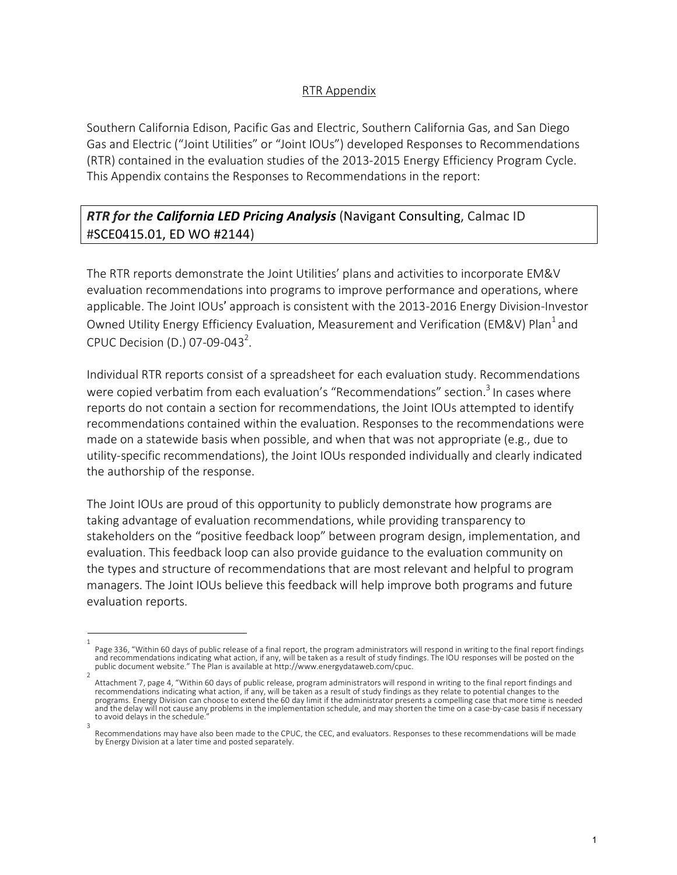## RTR Appendix

Southern California Edison, Pacific Gas and Electric, Southern California Gas, and San Diego Gas and Electric ("Joint Utilities" or "Joint IOUs") developed Responses to Recommendations (RTR) contained in the evaluation studies of the 2013-2015 Energy Efficiency Program Cycle. This Appendix contains the Responses to Recommendations in the report:

## *RTR for the California LED Pricing Analysis* (Navigant Consulting, Calmac ID #SCE0415.01, ED WO #2144)

The RTR reports demonstrate the Joint Utilities' plans and activities to incorporate EM&V evaluation recommendations into programs to improve performance and operations, where applicable. The Joint IOUs' approach is consistent with the 2013-2016 Energy Division-Investor Owned Utility Energy Efficiency Evaluation, Measurement and Verification (EM&V) Plan<sup>1</sup> and CPUC Decision (D.) 07-09-043<sup>2</sup>.

Individual RTR reports consist of a spreadsheet for each evaluation study. Recommendations were copied verbatim from each evaluation's "Recommendations" section.<sup>3</sup> In cases where reports do not contain a section for recommendations, the Joint IOUs attempted to identify recommendations contained within the evaluation. Responses to the recommendations were made on a statewide basis when possible, and when that was not appropriate (e.g., due to utility-specific recommendations), the Joint IOUs responded individually and clearly indicated the authorship of the response.

The Joint IOUs are proud of this opportunity to publicly demonstrate how programs are taking advantage of evaluation recommendations, while providing transparency to stakeholders on the "positive feedback loop" between program design, implementation, and evaluation. This feedback loop can also provide guidance to the evaluation community on the types and structure of recommendations that are most relevant and helpful to program managers. The Joint IOUs believe this feedback will help improve both programs and future evaluation reports.

<sup>1</sup>  Page 336, "Within 60 days of public release of a final report, the program administrators will respond in writing to the final report findings<br>and recommendations indicating what action, if any, will be taken as a result o public document website." The Plan is available at http://www.energydataweb.com/cpuc.

Attachment 7, page 4, "Within 60 days of public release, program administrators will respond in writing to the final report findings and recommendations indicating what action, if any, will be taken as a result of study findings as they relate to potential changes to the programs. Energy Division can choose to extend the 60 day limit if the administrator presents a compelling case that more time is needed and the delay will not cause any problems in the implementation schedule, and may shorten the time on a case-by-case basis if necessary to avoid delays in the schedule. 3

Recommendations may have also been made to the CPUC, the CEC, and evaluators. Responses to these recommendations will be made by Energy Division at a later time and posted separately.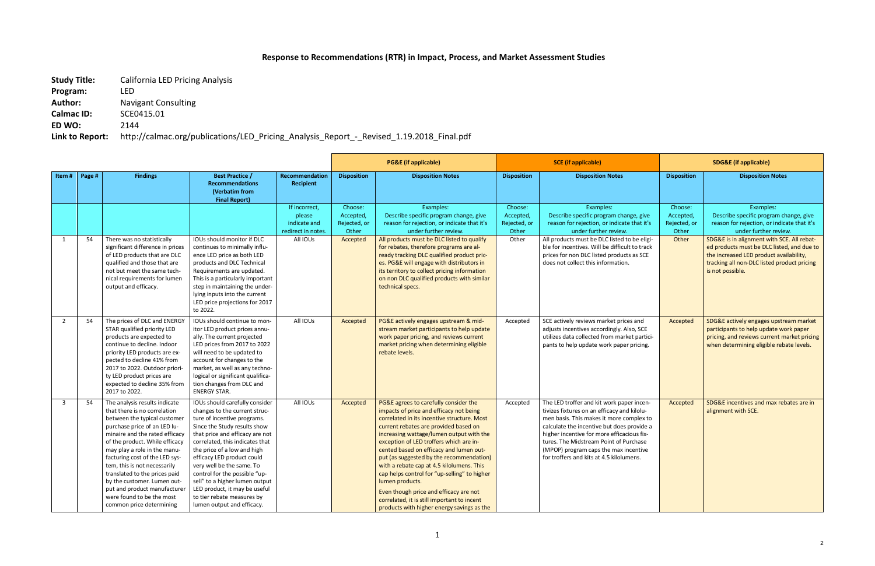## **Response to Recommendations (RTR) in Impact, Process, and Market Assessment Studies**

**Study Title:** California LED Pricing Analysis

**Program:** LED

**Author:** Navigant Consulting

**Calmac ID:** SCE0415.01

**ED WO:** 2144

**Link to Report:** http://calmac.org/publications/LED\_Pricing\_Analysis\_Report\_-\_Revised\_1.19.2018\_Final.pdf

|                |        |                                                                                                                                                                                                                                                                                                                                                                                                                                                              | <b>PG&amp;E</b> (if applicable)                                                                                                                                                                                                                                                                                                                                                                                                                                |                                                                           | <b>SCE</b> (if applicable)                                |                                                                                                                                                                                                                                                                                                                                                                                                                                                                                                                                                                                                               | <b>SDG&amp;E (if applicable)</b>                       |                                                                                                                                                                                                                                                                                                                                                                 |                                                        |                                                                                                                                                                                                                         |
|----------------|--------|--------------------------------------------------------------------------------------------------------------------------------------------------------------------------------------------------------------------------------------------------------------------------------------------------------------------------------------------------------------------------------------------------------------------------------------------------------------|----------------------------------------------------------------------------------------------------------------------------------------------------------------------------------------------------------------------------------------------------------------------------------------------------------------------------------------------------------------------------------------------------------------------------------------------------------------|---------------------------------------------------------------------------|-----------------------------------------------------------|---------------------------------------------------------------------------------------------------------------------------------------------------------------------------------------------------------------------------------------------------------------------------------------------------------------------------------------------------------------------------------------------------------------------------------------------------------------------------------------------------------------------------------------------------------------------------------------------------------------|--------------------------------------------------------|-----------------------------------------------------------------------------------------------------------------------------------------------------------------------------------------------------------------------------------------------------------------------------------------------------------------------------------------------------------------|--------------------------------------------------------|-------------------------------------------------------------------------------------------------------------------------------------------------------------------------------------------------------------------------|
| Item #         | Page # | <b>Findings</b>                                                                                                                                                                                                                                                                                                                                                                                                                                              | <b>Best Practice /</b><br><b>Recommendations</b><br>(Verbatim from<br><b>Final Report)</b>                                                                                                                                                                                                                                                                                                                                                                     | Recommendation<br><b>Recipient</b>                                        | <b>Disposition</b>                                        | <b>Disposition Notes</b>                                                                                                                                                                                                                                                                                                                                                                                                                                                                                                                                                                                      | <b>Disposition</b>                                     | <b>Disposition Notes</b>                                                                                                                                                                                                                                                                                                                                        | <b>Disposition</b>                                     | <b>Disposition Notes</b>                                                                                                                                                                                                |
| 1              | 54     | There was no statistically<br>significant difference in prices                                                                                                                                                                                                                                                                                                                                                                                               | IOUs should monitor if DLC<br>continues to minimally influ-                                                                                                                                                                                                                                                                                                                                                                                                    | If incorrect,<br>please<br>indicate and<br>redirect in notes.<br>All IOUs | Choose:<br>Accepted,<br>Rejected, or<br>Other<br>Accepted | Examples:<br>Describe specific program change, give<br>reason for rejection, or indicate that it's<br>under further review.<br>All products must be DLC listed to qualify<br>for rebates, therefore programs are al-                                                                                                                                                                                                                                                                                                                                                                                          | Choose:<br>Accepted,<br>Rejected, or<br>Other<br>Other | Examples:<br>Describe specific program change, give<br>reason for rejection, or indicate that it's<br>under further review.<br>All products must be DLC listed to be eligi-<br>ble for incentives. Will be difficult to track                                                                                                                                   | Choose:<br>Accepted,<br>Rejected, or<br>Other<br>Other | Examples:<br>Describe specific program change, give<br>reason for rejection, or indicate that it's<br>under further review.<br>SDG&E is in alignment with SCE. All rebat-<br>ed products must be DLC listed, and due to |
|                |        | of LED products that are DLC<br>qualified and those that are<br>not but meet the same tech-<br>nical requirements for lumen<br>output and efficacy.                                                                                                                                                                                                                                                                                                          | ence LED price as both LED<br>products and DLC Technical<br>Requirements are updated.<br>This is a particularly important<br>step in maintaining the under-<br>lying inputs into the current<br>LED price projections for 2017<br>to 2022.                                                                                                                                                                                                                     |                                                                           |                                                           | ready tracking DLC qualified product pric-<br>es. PG&E will engage with distributors in<br>its territory to collect pricing information<br>on non DLC qualified products with similar<br>technical specs.                                                                                                                                                                                                                                                                                                                                                                                                     |                                                        | prices for non DLC listed products as SCE<br>does not collect this information.                                                                                                                                                                                                                                                                                 |                                                        | the increased LED product availability,<br>tracking all non-DLC listed product pricing<br>is not possible.                                                                                                              |
| $\overline{2}$ | 54     | The prices of DLC and ENERGY<br>STAR qualified priority LED<br>products are expected to<br>continue to decline. Indoor<br>priority LED products are ex-<br>pected to decline 41% from<br>2017 to 2022. Outdoor priori-<br>ty LED product prices are<br>expected to decline 35% from<br>2017 to 2022.                                                                                                                                                         | IOUs should continue to mon-<br>itor LED product prices annu-<br>ally. The current projected<br>LED prices from 2017 to 2022<br>will need to be updated to<br>account for changes to the<br>market, as well as any techno-<br>logical or significant qualifica-<br>tion changes from DLC and<br><b>ENERGY STAR.</b>                                                                                                                                            | All IOUs                                                                  | Accepted                                                  | PG&E actively engages upstream & mid-<br>stream market participants to help update<br>work paper pricing, and reviews current<br>market pricing when determining eligible<br>rebate levels.                                                                                                                                                                                                                                                                                                                                                                                                                   | Accepted                                               | SCE actively reviews market prices and<br>adjusts incentives accordingly. Also, SCE<br>utilizes data collected from market partici-<br>pants to help update work paper pricing.                                                                                                                                                                                 | Accepted                                               | SDG&E actively engages upstream market<br>participants to help update work paper<br>pricing, and reviews current market pricing<br>when determining eligible rebate levels.                                             |
| $\overline{3}$ | 54     | The analysis results indicate<br>that there is no correlation<br>between the typical customer<br>purchase price of an LED lu-<br>minaire and the rated efficacy<br>of the product. While efficacy<br>may play a role in the manu-<br>facturing cost of the LED sys-<br>tem, this is not necessarily<br>translated to the prices paid<br>by the customer. Lumen out-<br>put and product manufacturer<br>were found to be the most<br>common price determining | IOUs should carefully consider<br>changes to the current struc-<br>ture of incentive programs.<br>Since the Study results show<br>that price and efficacy are not<br>correlated, this indicates that<br>the price of a low and high<br>efficacy LED product could<br>very well be the same. To<br>control for the possible "up-<br>sell" to a higher lumen output<br>LED product, it may be useful<br>to tier rebate measures by<br>lumen output and efficacy. | All IOUs                                                                  | Accepted                                                  | PG&E agrees to carefully consider the<br>impacts of price and efficacy not being<br>correlated in its incentive structure. Most<br>current rebates are provided based on<br>increasing wattage/lumen output with the<br>exception of LED troffers which are in-<br>cented based on efficacy and lumen out-<br>put (as suggested by the recommendation)<br>with a rebate cap at 4.5 kilolumens. This<br>cap helps control for "up-selling" to higher<br>lumen products.<br>Even though price and efficacy are not<br>correlated, it is still important to incent<br>products with higher energy savings as the | Accepted                                               | The LED troffer and kit work paper incen-<br>tivizes fixtures on an efficacy and kilolu-<br>men basis. This makes it more complex to<br>calculate the incentive but does provide a<br>higher incentive for more efficacious fix-<br>tures. The Midstream Point of Purchase<br>(MPOP) program caps the max incentive<br>for troffers and kits at 4.5 kilolumens. | Accepted                                               | SDG&E incentives and max rebates are in<br>alignment with SCE.                                                                                                                                                          |